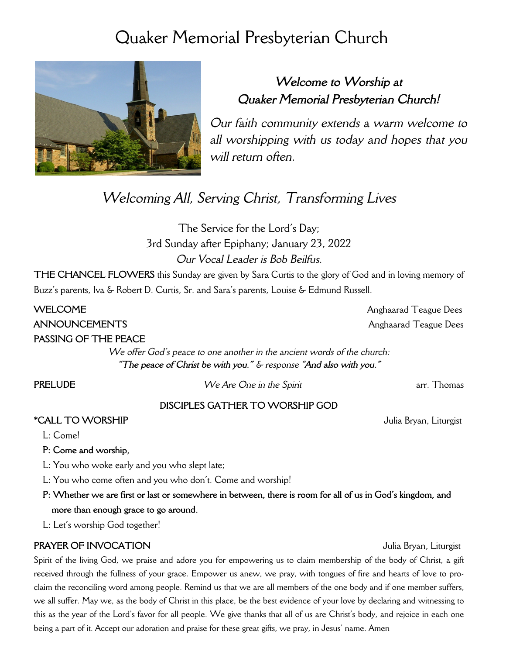# Quaker Memorial Presbyterian Church



# *Welcome to Worship at Quaker Memorial Presbyterian Church!*

*Our faith community extends a warm welcome to all worshipping with us today and hopes that you will return often.*

# *Welcoming All, Serving Christ, Transforming Lives*

The Service for the Lord's Day; 3rd Sunday after Epiphany; January 23, 2022 *Our Vocal Leader is Bob Beilfus.*

**THE CHANCEL FLOWERS** this Sunday are given by Sara Curtis to the glory of God and in loving memory of Buzz's parents, Iva & Robert D. Curtis, Sr. and Sara's parents, Louise & Edmund Russell.

**WELCOME** Anghaarad Teague Dees **ANNOUNCEMENTS** Anghaarad Teague Dees

**PASSING OF THE PEACE**

*We offer God's peace to one another in the ancient words of the church: "The peace of Christ be with you." & response "And also with you."*

**PRELUDE** *We Are One in the Spirit* arr. Thomas

# **DISCIPLES GATHER TO WORSHIP GOD**

### **\*CALL TO WORSHIP** Julia Bryan, Liturgist

L: Come!

**P: Come and worship,**

L: You who woke early and you who slept late;

L: You who come often and you who don't. Come and worship!

**P: Whether we are first or last or somewhere in between, there is room for all of us in God's kingdom, and more than enough grace to go around.**

L: Let's worship God together!

## **PRAYER OF INVOCATION** Julia Bryan, Liturgist

Spirit of the living God, we praise and adore you for empowering us to claim membership of the body of Christ, a gift received through the fullness of your grace. Empower us anew, we pray, with tongues of fire and hearts of love to proclaim the reconciling word among people. Remind us that we are all members of the one body and if one member suffers, we all suffer. May we, as the body of Christ in this place, be the best evidence of your love by declaring and witnessing to this as the year of the Lord's favor for all people. We give thanks that all of us are Christ's body, and rejoice in each one being a part of it. Accept our adoration and praise for these great gifts, we pray, in Jesus' name. Amen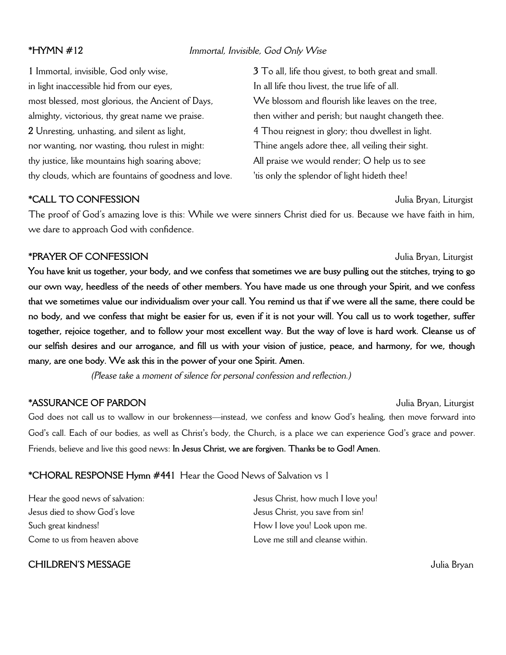### **\*HYMN #12** *Immortal, Invisible, God Only Wise*

**1** Immortal, invisible, God only wise, in light inaccessible hid from our eyes, most blessed, most glorious, the Ancient of Days, almighty, victorious, thy great name we praise. **2** Unresting, unhasting, and silent as light, nor wanting, nor wasting, thou rulest in might: thy justice, like mountains high soaring above; thy clouds, which are fountains of goodness and love. **3** To all, life thou givest, to both great and small. In all life thou livest, the true life of all. We blossom and flourish like leaves on the tree. then wither and perish; but naught changeth thee. 4 Thou reignest in glory; thou dwellest in light. Thine angels adore thee, all veiling their sight. All praise we would render; O help us to see 'tis only the splendor of light hideth thee!

### **\*CALL TO CONFESSION** Julia Bryan, Liturgist

The proof of God's amazing love is this: While we were sinners Christ died for us. Because we have faith in him, we dare to approach God with confidence.

### **\*PRAYER OF CONFESSION** Julia Bryan, Liturgist

**You have knit us together, your body, and we confess that sometimes we are busy pulling out the stitches, trying to go our own way, heedless of the needs of other members. You have made us one through your Spirit, and we confess that we sometimes value our individualism over your call. You remind us that if we were all the same, there could be no body, and we confess that might be easier for us, even if it is not your will. You call us to work together, suffer together, rejoice together, and to follow your most excellent way. But the way of love is hard work. Cleanse us of our selfish desires and our arrogance, and fill us with your vision of justice, peace, and harmony, for we, though many, are one body. We ask this in the power of your one Spirit. Amen.**

*(Please take a moment of silence for personal confession and reflection.)*

### **\*ASSURANCE OF PARDON** Julia Bryan, Liturgist

God does not call us to wallow in our brokenness—instead, we confess and know God's healing, then move forward into God's call. Each of our bodies, as well as Christ's body, the Church, is a place we can experience God's grace and power. Friends, believe and live this good news: **In Jesus Christ, we are forgiven. Thanks be to God! Amen.**

## **\*CHORAL RESPONSE Hymn #441** Hear the Good News of Salvation vs 1

Hear the good news of salvation: Jesus died to show God's love Such great kindness! Come to us from heaven above

**CHILDREN'S MESSAGE** Julia Bryan

Jesus Christ, how much I love you! Jesus Christ, you save from sin! How I love you! Look upon me. Love me still and cleanse within.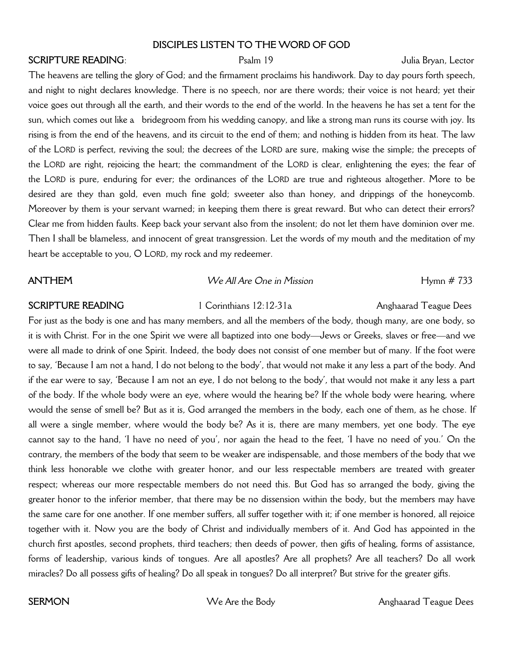### **DISCIPLES LISTEN TO THE WORD OF GOD**

### **SCRIPTURE READING**: Psalm 19 Psalm 19 Julia Bryan, Lector

The heavens are telling the glory of God; and the firmament proclaims his handiwork. Day to day pours forth speech, and night to night declares knowledge. There is no speech, nor are there words; their voice is not heard; yet their voice goes out through all the earth, and their words to the end of the world. In the heavens he has set a tent for the sun, which comes out like a bridegroom from his wedding canopy, and like a strong man runs its course with joy. Its rising is from the end of the heavens, and its circuit to the end of them; and nothing is hidden from its heat. The law of the LORD is perfect, reviving the soul; the decrees of the LORD are sure, making wise the simple; the precepts of the LORD are right, rejoicing the heart; the commandment of the LORD is clear, enlightening the eyes; the fear of the LORD is pure, enduring for ever; the ordinances of the LORD are true and righteous altogether. More to be desired are they than gold, even much fine gold; sweeter also than honey, and drippings of the honeycomb. Moreover by them is your servant warned; in keeping them there is great reward. But who can detect their errors? Clear me from hidden faults. Keep back your servant also from the insolent; do not let them have dominion over me. Then I shall be blameless, and innocent of great transgression. Let the words of my mouth and the meditation of my heart be acceptable to you, O LORD, my rock and my redeemer.

### **ANTHEM** *We All Are One in Mission* **Hymn # 733**

**SCRIPTURE READING** 1 Corinthians 12:12-31a Anghaarad Teague Dees

For just as the body is one and has many members, and all the members of the body, though many, are one body, so it is with Christ. For in the one Spirit we were all baptized into one body—Jews or Greeks, slaves or free—and we were all made to drink of one Spirit. Indeed, the body does not consist of one member but of many. If the foot were to say, 'Because I am not a hand, I do not belong to the body', that would not make it any less a part of the body. And if the ear were to say, 'Because I am not an eye, I do not belong to the body', that would not make it any less a part of the body. If the whole body were an eye, where would the hearing be? If the whole body were hearing, where would the sense of smell be? But as it is, God arranged the members in the body, each one of them, as he chose. If all were a single member, where would the body be? As it is, there are many members, yet one body. The eye cannot say to the hand, 'I have no need of you', nor again the head to the feet, 'I have no need of you.' On the contrary, the members of the body that seem to be weaker are indispensable, and those members of the body that we think less honorable we clothe with greater honor, and our less respectable members are treated with greater respect; whereas our more respectable members do not need this. But God has so arranged the body, giving the greater honor to the inferior member, that there may be no dissension within the body, but the members may have the same care for one another. If one member suffers, all suffer together with it; if one member is honored, all rejoice together with it. Now you are the body of Christ and individually members of it. And God has appointed in the church first apostles, second prophets, third teachers; then deeds of power, then gifts of healing, forms of assistance, forms of leadership, various kinds of tongues. Are all apostles? Are all prophets? Are all teachers? Do all work miracles? Do all possess gifts of healing? Do all speak in tongues? Do all interpret? But strive for the greater gifts.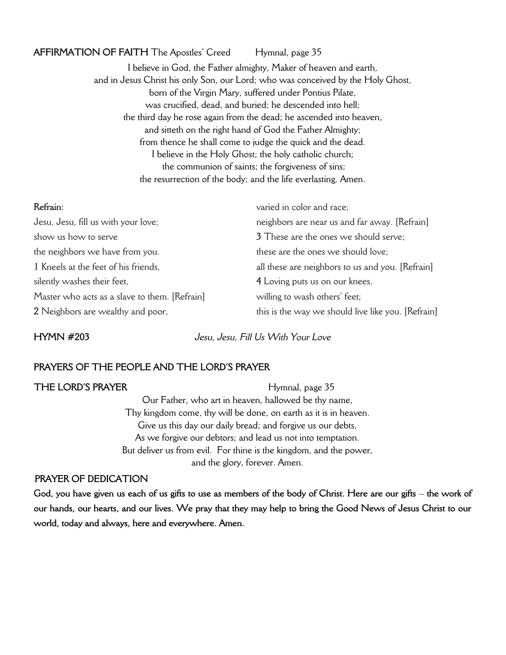### AFFIRMATION OF FAITH The Apostles' Creed Hymnal, page 35

I believe in God, the Father almighty, Maker of heaven and earth, and in Jesus Christ his only Son, our Lord; who was conceived by the Holy Ghost, born of the Virgin Mary, suffered under Pontius Pilate, was crucified, dead, and buried; he descended into hell; the third day he rose again from the dead; he ascended into heaven, and sitteth on the right hand of God the Father Almighty; from thence he shall come to judge the quick and the dead. I believe in the Holy Ghost; the holy catholic church; the communion of saints; the forgiveness of sins; the resurrection of the body; and the life everlasting. Amen.

| Refrain:                                      | varied in color and race;                          |
|-----------------------------------------------|----------------------------------------------------|
| Jesu, Jesu, fill us with your love;           | neighbors are near us and far away. [Refrain]      |
| show us how to serve                          | 3 These are the ones we should serve;              |
| the neighbors we have from you.               | these are the ones we should love;                 |
| 1 Kneels at the feet of his friends,          | all these are neighbors to us and you. [Refrain]   |
| silently washes their feet,                   | 4 Loving puts us on our knees,                     |
| Master who acts as a slave to them. [Refrain] | willing to wash others' feet;                      |
| 2 Neighbors are wealthy and poor,             | this is the way we should live like you. [Refrain] |

**HYMN #203** *Jesu, Jesu, Fill Us With Your Love*

## **PRAYERS OF THE PEOPLE AND THE LORD'S PRAYER**

**THE LORD'S PRAYER** Hymnal, page 35 Our Father, who art in heaven, hallowed be thy name, Thy kingdom come, thy will be done, on earth as it is in heaven. Give us this day our daily bread; and forgive us our debts, As we forgive our debtors; and lead us not into temptation. But deliver us from evil. For thine is the kingdom, and the power, and the glory, forever. Amen.

### \**PRAYER OF DEDICATION**

**God, you have given us each of us gifts to use as members of the body of Christ. Here are our gifts – the work of our hands, our hearts, and our lives. We pray that they may help to bring the Good News of Jesus Christ to our world, today and always, here and everywhere. Amen.**